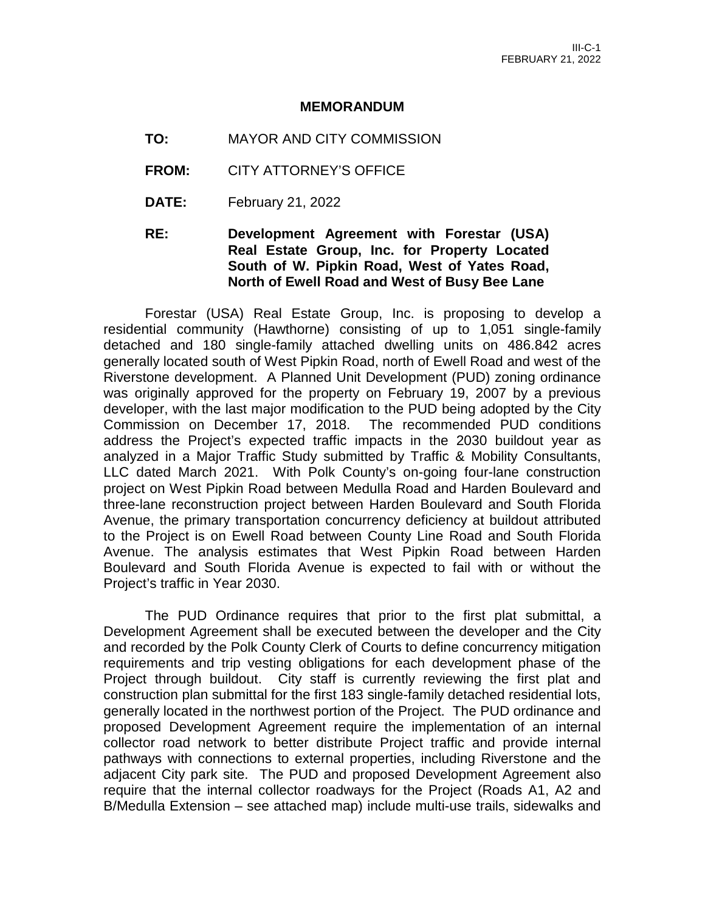#### **MEMORANDUM**

- **TO:** MAYOR AND CITY COMMISSION
- **FROM:** CITY ATTORNEY'S OFFICE
- **DATE:** February 21, 2022
- **RE: Development Agreement with Forestar (USA) Real Estate Group, Inc. for Property Located South of W. Pipkin Road, West of Yates Road, North of Ewell Road and West of Busy Bee Lane**

Forestar (USA) Real Estate Group, Inc. is proposing to develop a residential community (Hawthorne) consisting of up to 1,051 single-family detached and 180 single-family attached dwelling units on 486.842 acres generally located south of West Pipkin Road, north of Ewell Road and west of the Riverstone development. A Planned Unit Development (PUD) zoning ordinance was originally approved for the property on February 19, 2007 by a previous developer, with the last major modification to the PUD being adopted by the City Commission on December 17, 2018. The recommended PUD conditions address the Project's expected traffic impacts in the 2030 buildout year as analyzed in a Major Traffic Study submitted by Traffic & Mobility Consultants, LLC dated March 2021. With Polk County's on-going four-lane construction project on West Pipkin Road between Medulla Road and Harden Boulevard and three-lane reconstruction project between Harden Boulevard and South Florida Avenue, the primary transportation concurrency deficiency at buildout attributed to the Project is on Ewell Road between County Line Road and South Florida Avenue. The analysis estimates that West Pipkin Road between Harden Boulevard and South Florida Avenue is expected to fail with or without the Project's traffic in Year 2030.

The PUD Ordinance requires that prior to the first plat submittal, a Development Agreement shall be executed between the developer and the City and recorded by the Polk County Clerk of Courts to define concurrency mitigation requirements and trip vesting obligations for each development phase of the Project through buildout. City staff is currently reviewing the first plat and construction plan submittal for the first 183 single-family detached residential lots, generally located in the northwest portion of the Project. The PUD ordinance and proposed Development Agreement require the implementation of an internal collector road network to better distribute Project traffic and provide internal pathways with connections to external properties, including Riverstone and the adjacent City park site. The PUD and proposed Development Agreement also require that the internal collector roadways for the Project (Roads A1, A2 and B/Medulla Extension – see attached map) include multi-use trails, sidewalks and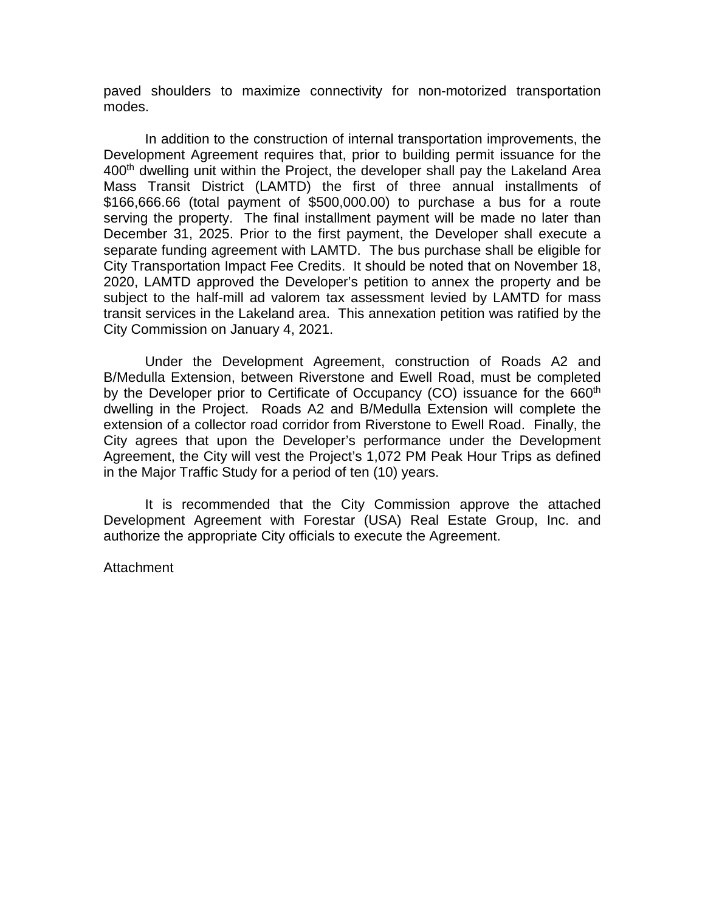paved shoulders to maximize connectivity for non-motorized transportation modes.

In addition to the construction of internal transportation improvements, the Development Agreement requires that, prior to building permit issuance for the 400<sup>th</sup> dwelling unit within the Project, the developer shall pay the Lakeland Area Mass Transit District (LAMTD) the first of three annual installments of \$166,666.66 (total payment of \$500,000.00) to purchase a bus for a route serving the property. The final installment payment will be made no later than December 31, 2025. Prior to the first payment, the Developer shall execute a separate funding agreement with LAMTD. The bus purchase shall be eligible for City Transportation Impact Fee Credits. It should be noted that on November 18, 2020, LAMTD approved the Developer's petition to annex the property and be subject to the half-mill ad valorem tax assessment levied by LAMTD for mass transit services in the Lakeland area. This annexation petition was ratified by the City Commission on January 4, 2021.

Under the Development Agreement, construction of Roads A2 and B/Medulla Extension, between Riverstone and Ewell Road, must be completed by the Developer prior to Certificate of Occupancy (CO) issuance for the 660<sup>th</sup> dwelling in the Project. Roads A2 and B/Medulla Extension will complete the extension of a collector road corridor from Riverstone to Ewell Road. Finally, the City agrees that upon the Developer's performance under the Development Agreement, the City will vest the Project's 1,072 PM Peak Hour Trips as defined in the Major Traffic Study for a period of ten (10) years.

It is recommended that the City Commission approve the attached Development Agreement with Forestar (USA) Real Estate Group, Inc. and authorize the appropriate City officials to execute the Agreement.

**Attachment**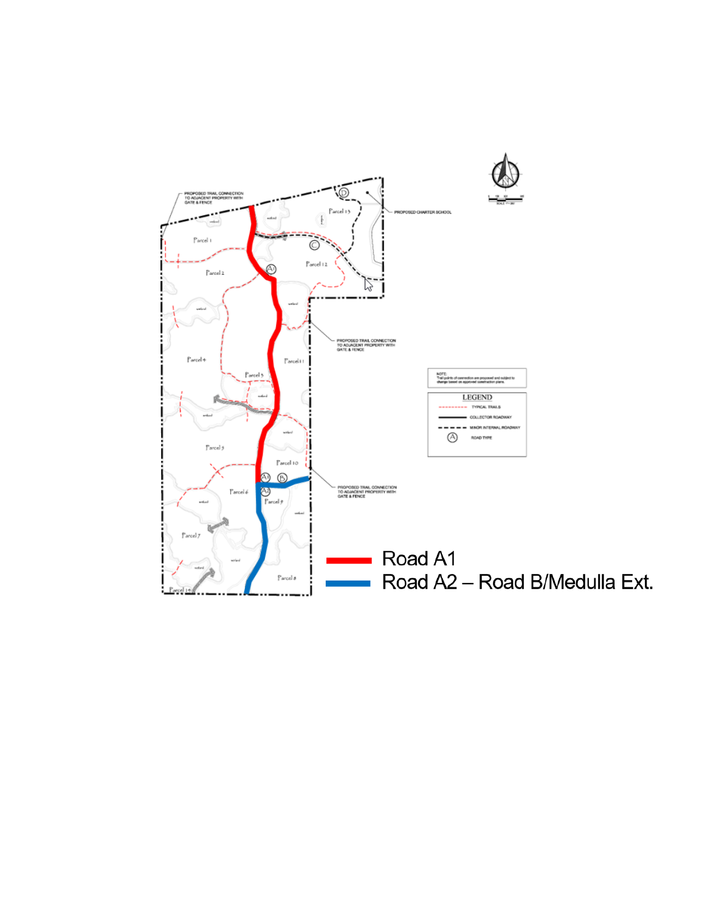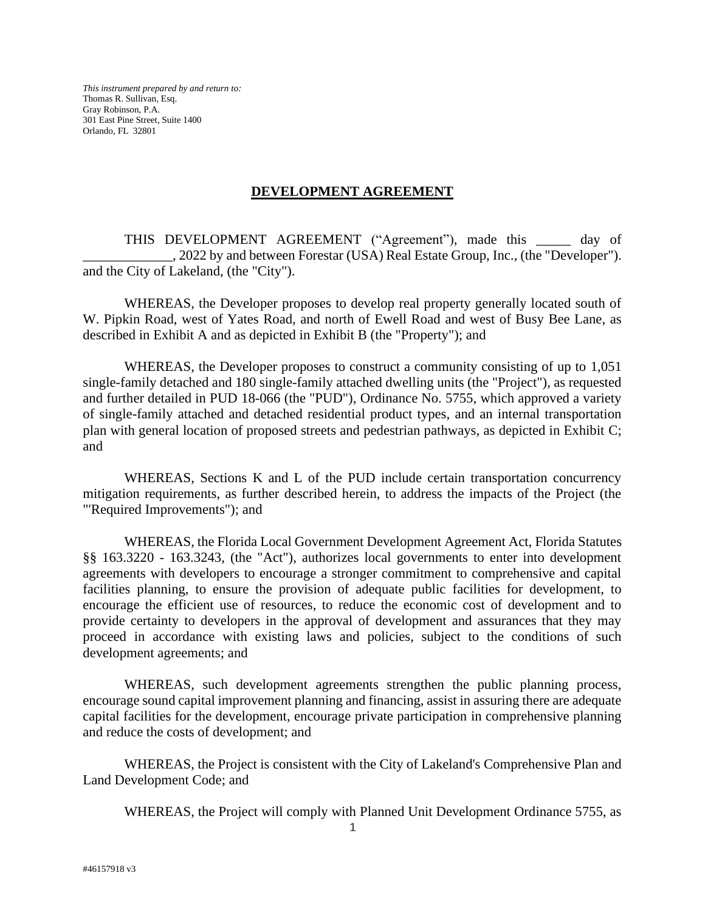*This instrument prepared by and return to:* Thomas R. Sullivan, Esq. Gray Robinson, P.A. 301 East Pine Street, Suite 1400 Orlando, FL 32801

## **DEVELOPMENT AGREEMENT**

THIS DEVELOPMENT AGREEMENT ("Agreement"), made this \_\_\_\_\_ day of \_\_\_\_\_\_\_\_\_\_\_\_\_, 2022 by and between Forestar (USA) Real Estate Group, Inc., (the "Developer"). and the City of Lakeland, (the "City").

WHEREAS, the Developer proposes to develop real property generally located south of W. Pipkin Road, west of Yates Road, and north of Ewell Road and west of Busy Bee Lane, as described in Exhibit A and as depicted in Exhibit B (the "Property"); and

WHEREAS, the Developer proposes to construct a community consisting of up to 1,051 single-family detached and 180 single-family attached dwelling units (the "Project"), as requested and further detailed in PUD 18-066 (the "PUD"), Ordinance No. 5755, which approved a variety of single-family attached and detached residential product types, and an internal transportation plan with general location of proposed streets and pedestrian pathways, as depicted in Exhibit C; and

WHEREAS, Sections K and L of the PUD include certain transportation concurrency mitigation requirements, as further described herein, to address the impacts of the Project (the "'Required Improvements"); and

WHEREAS, the Florida Local Government Development Agreement Act, Florida Statutes §§ 163.3220 - 163.3243, (the "Act"), authorizes local governments to enter into development agreements with developers to encourage a stronger commitment to comprehensive and capital facilities planning, to ensure the provision of adequate public facilities for development, to encourage the efficient use of resources, to reduce the economic cost of development and to provide certainty to developers in the approval of development and assurances that they may proceed in accordance with existing laws and policies, subject to the conditions of such development agreements; and

WHEREAS, such development agreements strengthen the public planning process, encourage sound capital improvement planning and financing, assist in assuring there are adequate capital facilities for the development, encourage private participation in comprehensive planning and reduce the costs of development; and

WHEREAS, the Project is consistent with the City of Lakeland's Comprehensive Plan and Land Development Code; and

WHEREAS, the Project will comply with Planned Unit Development Ordinance 5755, as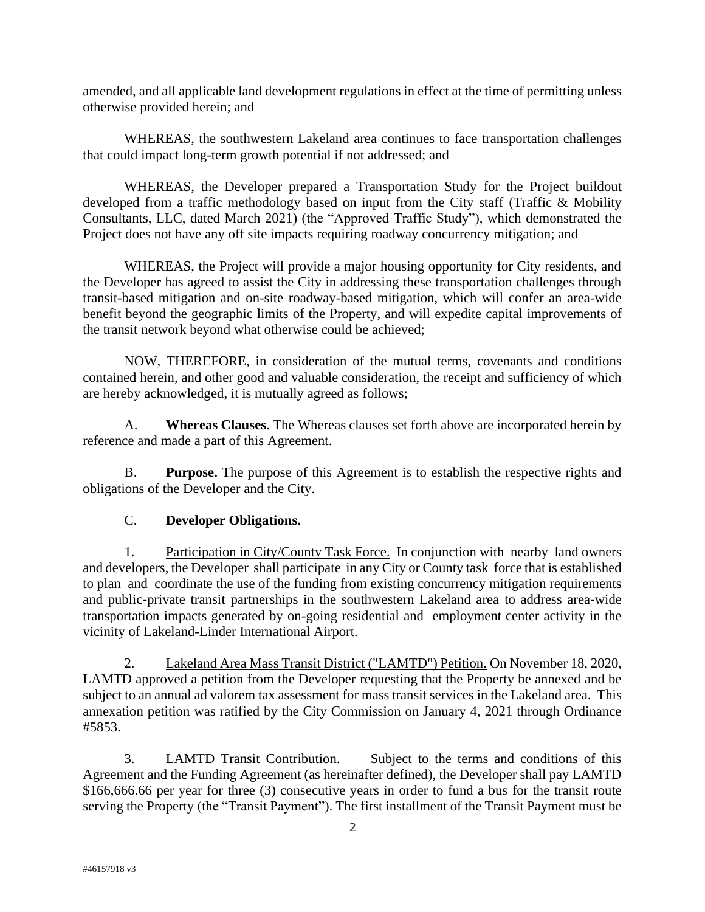amended, and all applicable land development regulations in effect at the time of permitting unless otherwise provided herein; and

WHEREAS, the southwestern Lakeland area continues to face transportation challenges that could impact long-term growth potential if not addressed; and

WHEREAS, the Developer prepared a Transportation Study for the Project buildout developed from a traffic methodology based on input from the City staff (Traffic & Mobility Consultants, LLC, dated March 2021) (the "Approved Traffic Study"), which demonstrated the Project does not have any off site impacts requiring roadway concurrency mitigation; and

WHEREAS, the Project will provide a major housing opportunity for City residents, and the Developer has agreed to assist the City in addressing these transportation challenges through transit-based mitigation and on-site roadway-based mitigation, which will confer an area-wide benefit beyond the geographic limits of the Property, and will expedite capital improvements of the transit network beyond what otherwise could be achieved;

NOW, THEREFORE, in consideration of the mutual terms, covenants and conditions contained herein, and other good and valuable consideration, the receipt and sufficiency of which are hereby acknowledged, it is mutually agreed as follows;

A. **Whereas Clauses**. The Whereas clauses set forth above are incorporated herein by reference and made a part of this Agreement.

B. **Purpose.** The purpose of this Agreement is to establish the respective rights and obligations of the Developer and the City.

# C. **Developer Obligations.**

1. Participation in City/County Task Force. In conjunction with nearby land owners and developers, the Developer shall participate in any City or County task force that is established to plan and coordinate the use of the funding from existing concurrency mitigation requirements and public-private transit partnerships in the southwestern Lakeland area to address area-wide transportation impacts generated by on-going residential and employment center activity in the vicinity of Lakeland-Linder International Airport.

2. Lakeland Area Mass Transit District ("LAMTD") Petition. On November 18, 2020, LAMTD approved a petition from the Developer requesting that the Property be annexed and be subject to an annual ad valorem tax assessment for mass transit services in the Lakeland area. This annexation petition was ratified by the City Commission on January 4, 2021 through Ordinance #5853.

3. LAMTD Transit Contribution. Subject to the terms and conditions of this Agreement and the Funding Agreement (as hereinafter defined), the Developer shall pay LAMTD \$166,666.66 per year for three (3) consecutive years in order to fund a bus for the transit route serving the Property (the "Transit Payment"). The first installment of the Transit Payment must be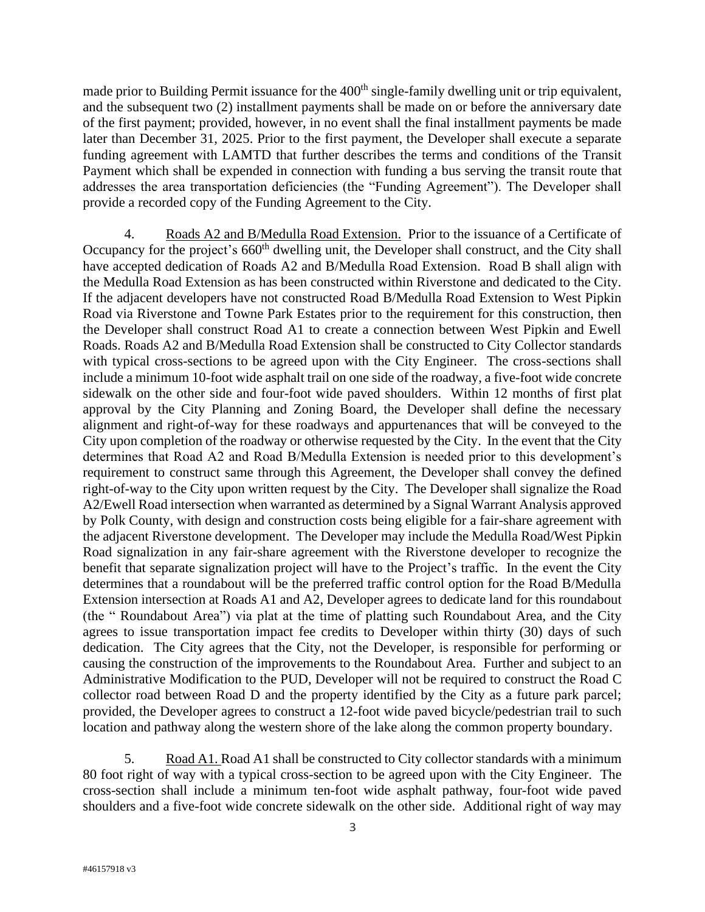made prior to Building Permit issuance for the 400<sup>th</sup> single-family dwelling unit or trip equivalent, and the subsequent two (2) installment payments shall be made on or before the anniversary date of the first payment; provided, however, in no event shall the final installment payments be made later than December 31, 2025. Prior to the first payment, the Developer shall execute a separate funding agreement with LAMTD that further describes the terms and conditions of the Transit Payment which shall be expended in connection with funding a bus serving the transit route that addresses the area transportation deficiencies (the "Funding Agreement"). The Developer shall provide a recorded copy of the Funding Agreement to the City.

4. Roads A2 and B/Medulla Road Extension. Prior to the issuance of a Certificate of Occupancy for the project's 660<sup>th</sup> dwelling unit, the Developer shall construct, and the City shall have accepted dedication of Roads A2 and B/Medulla Road Extension. Road B shall align with the Medulla Road Extension as has been constructed within Riverstone and dedicated to the City. If the adjacent developers have not constructed Road B/Medulla Road Extension to West Pipkin Road via Riverstone and Towne Park Estates prior to the requirement for this construction, then the Developer shall construct Road A1 to create a connection between West Pipkin and Ewell Roads. Roads A2 and B/Medulla Road Extension shall be constructed to City Collector standards with typical cross-sections to be agreed upon with the City Engineer. The cross-sections shall include a minimum 10-foot wide asphalt trail on one side of the roadway, a five-foot wide concrete sidewalk on the other side and four-foot wide paved shoulders. Within 12 months of first plat approval by the City Planning and Zoning Board, the Developer shall define the necessary alignment and right-of-way for these roadways and appurtenances that will be conveyed to the City upon completion of the roadway or otherwise requested by the City. In the event that the City determines that Road A2 and Road B/Medulla Extension is needed prior to this development's requirement to construct same through this Agreement, the Developer shall convey the defined right-of-way to the City upon written request by the City. The Developer shall signalize the Road A2/Ewell Road intersection when warranted as determined by a Signal Warrant Analysis approved by Polk County, with design and construction costs being eligible for a fair-share agreement with the adjacent Riverstone development. The Developer may include the Medulla Road/West Pipkin Road signalization in any fair-share agreement with the Riverstone developer to recognize the benefit that separate signalization project will have to the Project's traffic. In the event the City determines that a roundabout will be the preferred traffic control option for the Road B/Medulla Extension intersection at Roads A1 and A2, Developer agrees to dedicate land for this roundabout (the " Roundabout Area") via plat at the time of platting such Roundabout Area, and the City agrees to issue transportation impact fee credits to Developer within thirty (30) days of such dedication. The City agrees that the City, not the Developer, is responsible for performing or causing the construction of the improvements to the Roundabout Area. Further and subject to an Administrative Modification to the PUD, Developer will not be required to construct the Road C collector road between Road D and the property identified by the City as a future park parcel; provided, the Developer agrees to construct a 12-foot wide paved bicycle/pedestrian trail to such location and pathway along the western shore of the lake along the common property boundary.

5. Road A1. Road A1 shall be constructed to City collector standards with a minimum 80 foot right of way with a typical cross-section to be agreed upon with the City Engineer. The cross-section shall include a minimum ten-foot wide asphalt pathway, four-foot wide paved shoulders and a five-foot wide concrete sidewalk on the other side. Additional right of way may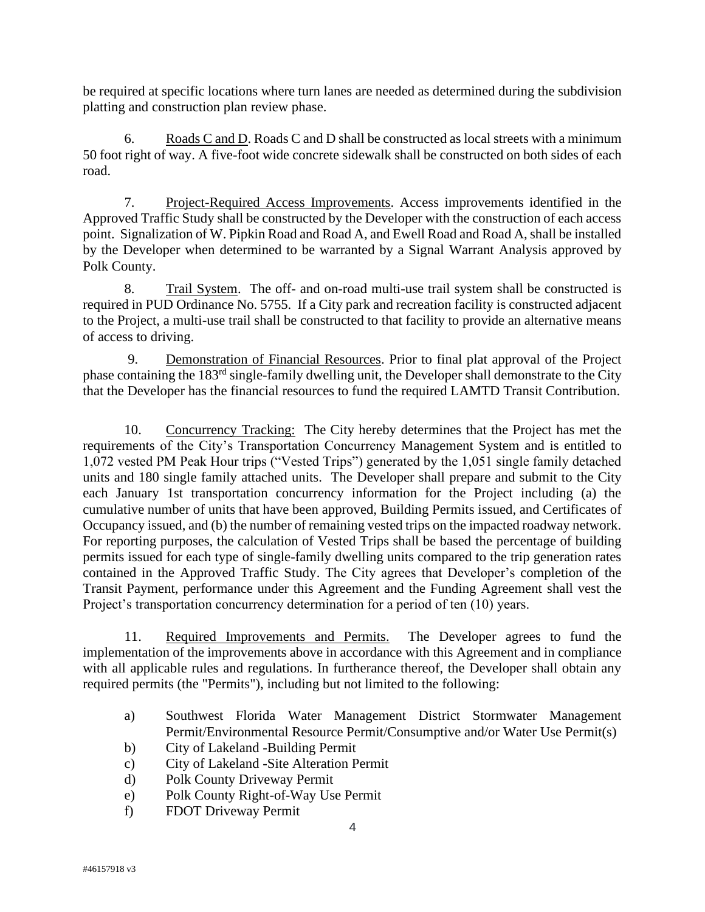be required at specific locations where turn lanes are needed as determined during the subdivision platting and construction plan review phase.

6. Roads C and D. Roads C and D shall be constructed as local streets with a minimum 50 foot right of way. A five-foot wide concrete sidewalk shall be constructed on both sides of each road.

7. Project-Required Access Improvements. Access improvements identified in the Approved Traffic Study shall be constructed by the Developer with the construction of each access point. Signalization of W. Pipkin Road and Road A, and Ewell Road and Road A, shall be installed by the Developer when determined to be warranted by a Signal Warrant Analysis approved by Polk County.

8. Trail System. The off- and on-road multi-use trail system shall be constructed is required in PUD Ordinance No. 5755. If a City park and recreation facility is constructed adjacent to the Project, a multi-use trail shall be constructed to that facility to provide an alternative means of access to driving.

9. Demonstration of Financial Resources. Prior to final plat approval of the Project phase containing the 183rd single-family dwelling unit, the Developer shall demonstrate to the City that the Developer has the financial resources to fund the required LAMTD Transit Contribution.

10. Concurrency Tracking: The City hereby determines that the Project has met the requirements of the City's Transportation Concurrency Management System and is entitled to 1,072 vested PM Peak Hour trips ("Vested Trips") generated by the 1,051 single family detached units and 180 single family attached units. The Developer shall prepare and submit to the City each January 1st transportation concurrency information for the Project including (a) the cumulative number of units that have been approved, Building Permits issued, and Certificates of Occupancy issued, and (b) the number of remaining vested trips on the impacted roadway network. For reporting purposes, the calculation of Vested Trips shall be based the percentage of building permits issued for each type of single-family dwelling units compared to the trip generation rates contained in the Approved Traffic Study. The City agrees that Developer's completion of the Transit Payment, performance under this Agreement and the Funding Agreement shall vest the Project's transportation concurrency determination for a period of ten (10) years.

11. Required Improvements and Permits. The Developer agrees to fund the implementation of the improvements above in accordance with this Agreement and in compliance with all applicable rules and regulations. In furtherance thereof, the Developer shall obtain any required permits (the "Permits"), including but not limited to the following:

- a) Southwest Florida Water Management District Stormwater Management Permit/Environmental Resource Permit/Consumptive and/or Water Use Permit(s)
- b) City of Lakeland -Building Permit
- c) City of Lakeland -Site Alteration Permit
- d) Polk County Driveway Permit
- e) Polk County Right-of-Way Use Permit
- f) FDOT Driveway Permit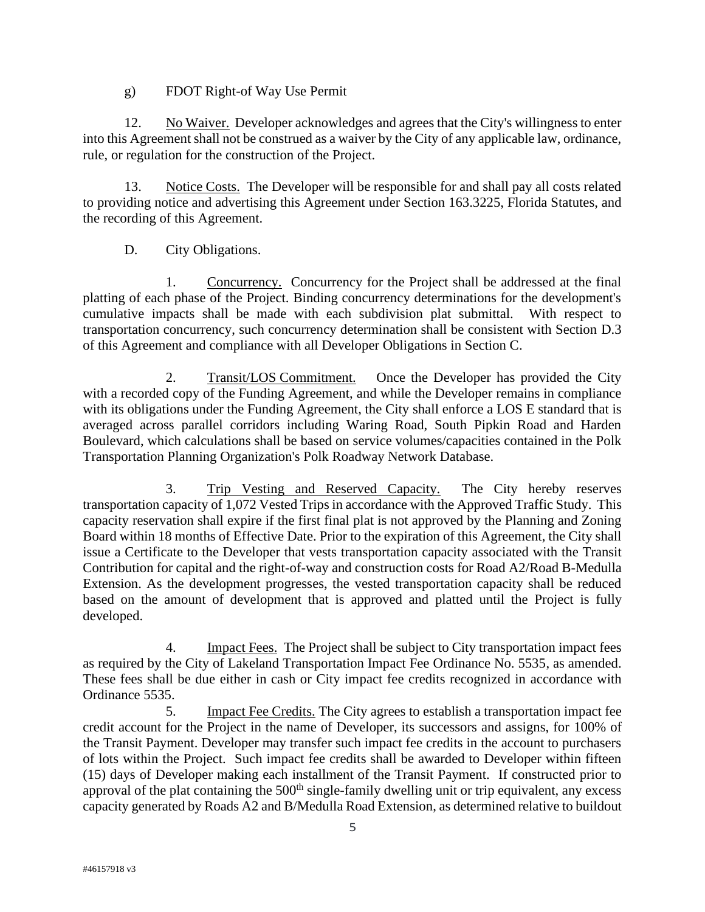g) FDOT Right-of Way Use Permit

12. No Waiver. Developer acknowledges and agrees that the City's willingness to enter into this Agreement shall not be construed as a waiver by the City of any applicable law, ordinance, rule, or regulation for the construction of the Project.

13. Notice Costs. The Developer will be responsible for and shall pay all costs related to providing notice and advertising this Agreement under Section 163.3225, Florida Statutes, and the recording of this Agreement.

D. City Obligations.

1. Concurrency. Concurrency for the Project shall be addressed at the final platting of each phase of the Project. Binding concurrency determinations for the development's cumulative impacts shall be made with each subdivision plat submittal. With respect to transportation concurrency, such concurrency determination shall be consistent with Section D.3 of this Agreement and compliance with all Developer Obligations in Section C.

2. Transit/LOS Commitment. Once the Developer has provided the City with a recorded copy of the Funding Agreement, and while the Developer remains in compliance with its obligations under the Funding Agreement, the City shall enforce a LOS E standard that is averaged across parallel corridors including Waring Road, South Pipkin Road and Harden Boulevard, which calculations shall be based on service volumes/capacities contained in the Polk Transportation Planning Organization's Polk Roadway Network Database.

3. Trip Vesting and Reserved Capacity. The City hereby reserves transportation capacity of 1,072 Vested Trips in accordance with the Approved Traffic Study. This capacity reservation shall expire if the first final plat is not approved by the Planning and Zoning Board within 18 months of Effective Date. Prior to the expiration of this Agreement, the City shall issue a Certificate to the Developer that vests transportation capacity associated with the Transit Contribution for capital and the right-of-way and construction costs for Road A2/Road B-Medulla Extension. As the development progresses, the vested transportation capacity shall be reduced based on the amount of development that is approved and platted until the Project is fully developed.

4. Impact Fees. The Project shall be subject to City transportation impact fees as required by the City of Lakeland Transportation Impact Fee Ordinance No. 5535, as amended. These fees shall be due either in cash or City impact fee credits recognized in accordance with Ordinance 5535.

5. Impact Fee Credits. The City agrees to establish a transportation impact fee credit account for the Project in the name of Developer, its successors and assigns, for 100% of the Transit Payment. Developer may transfer such impact fee credits in the account to purchasers of lots within the Project. Such impact fee credits shall be awarded to Developer within fifteen (15) days of Developer making each installment of the Transit Payment. If constructed prior to approval of the plat containing the 500<sup>th</sup> single-family dwelling unit or trip equivalent, any excess capacity generated by Roads A2 and B/Medulla Road Extension, as determined relative to buildout

5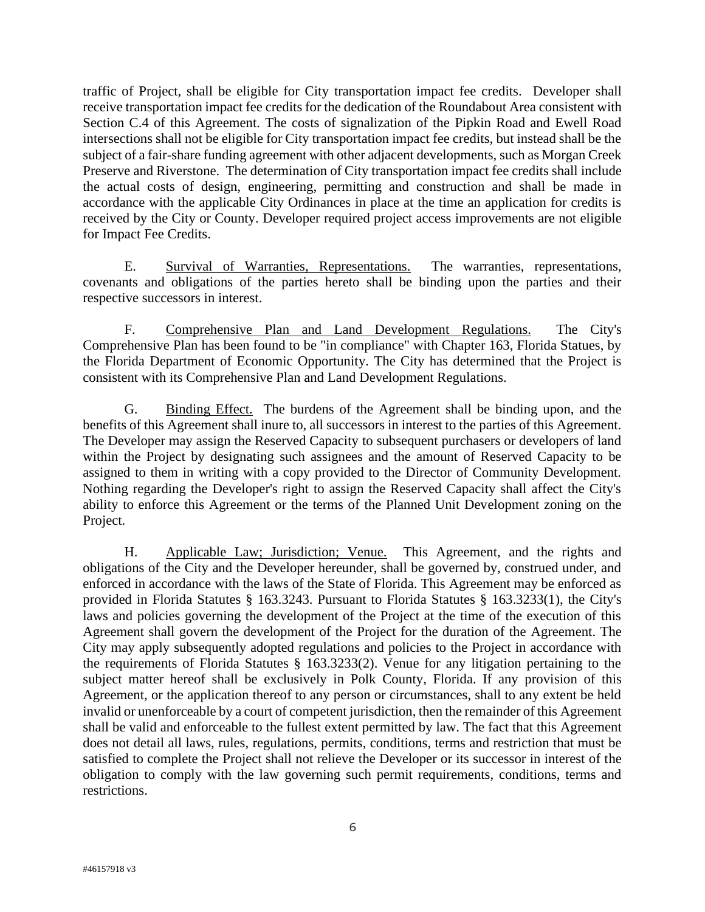traffic of Project, shall be eligible for City transportation impact fee credits. Developer shall receive transportation impact fee credits for the dedication of the Roundabout Area consistent with Section C.4 of this Agreement. The costs of signalization of the Pipkin Road and Ewell Road intersections shall not be eligible for City transportation impact fee credits, but instead shall be the subject of a fair-share funding agreement with other adjacent developments, such as Morgan Creek Preserve and Riverstone. The determination of City transportation impact fee credits shall include the actual costs of design, engineering, permitting and construction and shall be made in accordance with the applicable City Ordinances in place at the time an application for credits is received by the City or County. Developer required project access improvements are not eligible for Impact Fee Credits.

E. Survival of Warranties, Representations. The warranties, representations, covenants and obligations of the parties hereto shall be binding upon the parties and their respective successors in interest.

F. Comprehensive Plan and Land Development Regulations. The City's Comprehensive Plan has been found to be "in compliance" with Chapter 163, Florida Statues, by the Florida Department of Economic Opportunity. The City has determined that the Project is consistent with its Comprehensive Plan and Land Development Regulations.

G. Binding Effect. The burdens of the Agreement shall be binding upon, and the benefits of this Agreement shall inure to, all successors in interest to the parties of this Agreement. The Developer may assign the Reserved Capacity to subsequent purchasers or developers of land within the Project by designating such assignees and the amount of Reserved Capacity to be assigned to them in writing with a copy provided to the Director of Community Development. Nothing regarding the Developer's right to assign the Reserved Capacity shall affect the City's ability to enforce this Agreement or the terms of the Planned Unit Development zoning on the Project.

H. Applicable Law; Jurisdiction; Venue. This Agreement, and the rights and obligations of the City and the Developer hereunder, shall be governed by, construed under, and enforced in accordance with the laws of the State of Florida. This Agreement may be enforced as provided in Florida Statutes § 163.3243. Pursuant to Florida Statutes § 163.3233(1), the City's laws and policies governing the development of the Project at the time of the execution of this Agreement shall govern the development of the Project for the duration of the Agreement. The City may apply subsequently adopted regulations and policies to the Project in accordance with the requirements of Florida Statutes § 163.3233(2). Venue for any litigation pertaining to the subject matter hereof shall be exclusively in Polk County, Florida. If any provision of this Agreement, or the application thereof to any person or circumstances, shall to any extent be held invalid or unenforceable by a court of competent jurisdiction, then the remainder of this Agreement shall be valid and enforceable to the fullest extent permitted by law. The fact that this Agreement does not detail all laws, rules, regulations, permits, conditions, terms and restriction that must be satisfied to complete the Project shall not relieve the Developer or its successor in interest of the obligation to comply with the law governing such permit requirements, conditions, terms and restrictions.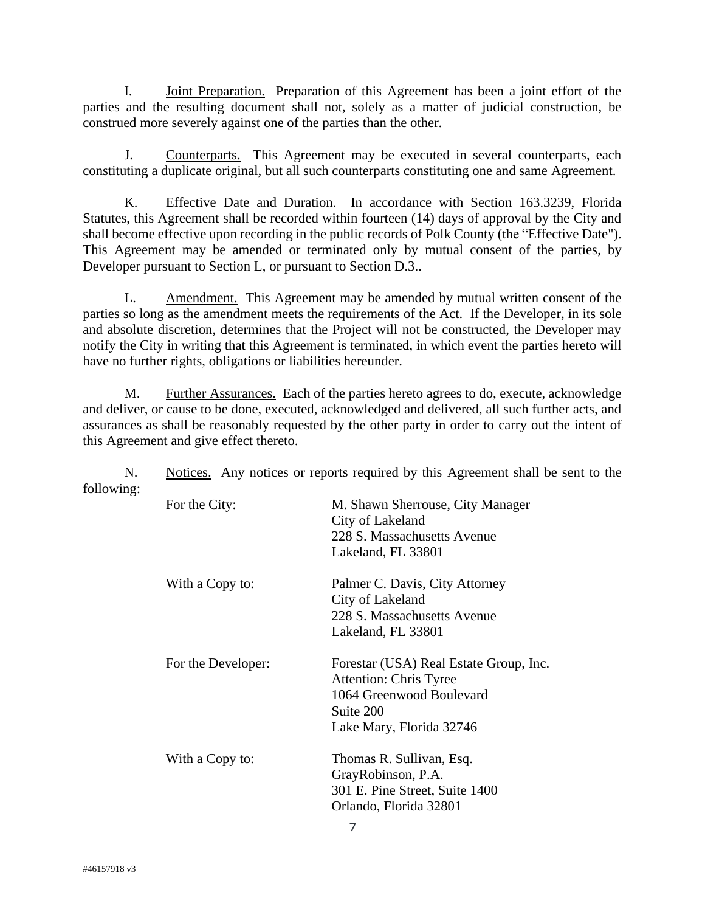I. Joint Preparation. Preparation of this Agreement has been a joint effort of the parties and the resulting document shall not, solely as a matter of judicial construction, be construed more severely against one of the parties than the other.

J. Counterparts. This Agreement may be executed in several counterparts, each constituting a duplicate original, but all such counterparts constituting one and same Agreement.

K. Effective Date and Duration. In accordance with Section 163.3239, Florida Statutes, this Agreement shall be recorded within fourteen (14) days of approval by the City and shall become effective upon recording in the public records of Polk County (the "Effective Date"). This Agreement may be amended or terminated only by mutual consent of the parties, by Developer pursuant to Section L, or pursuant to Section D.3..

L. Amendment. This Agreement may be amended by mutual written consent of the parties so long as the amendment meets the requirements of the Act. If the Developer, in its sole and absolute discretion, determines that the Project will not be constructed, the Developer may notify the City in writing that this Agreement is terminated, in which event the parties hereto will have no further rights, obligations or liabilities hereunder.

M. Further Assurances. Each of the parties hereto agrees to do, execute, acknowledge and deliver, or cause to be done, executed, acknowledged and delivered, all such further acts, and assurances as shall be reasonably requested by the other party in order to carry out the intent of this Agreement and give effect thereto.

N. Notices. Any notices or reports required by this Agreement shall be sent to the following:

| For the City:      | M. Shawn Sherrouse, City Manager<br>City of Lakeland<br>228 S. Massachusetts Avenue<br>Lakeland, FL 33801                             |
|--------------------|---------------------------------------------------------------------------------------------------------------------------------------|
| With a Copy to:    | Palmer C. Davis, City Attorney<br>City of Lakeland<br>228 S. Massachusetts Avenue<br>Lakeland, FL 33801                               |
| For the Developer: | Forestar (USA) Real Estate Group, Inc.<br>Attention: Chris Tyree<br>1064 Greenwood Boulevard<br>Suite 200<br>Lake Mary, Florida 32746 |
| With a Copy to:    | Thomas R. Sullivan, Esq.<br>GrayRobinson, P.A.<br>301 E. Pine Street, Suite 1400<br>Orlando, Florida 32801                            |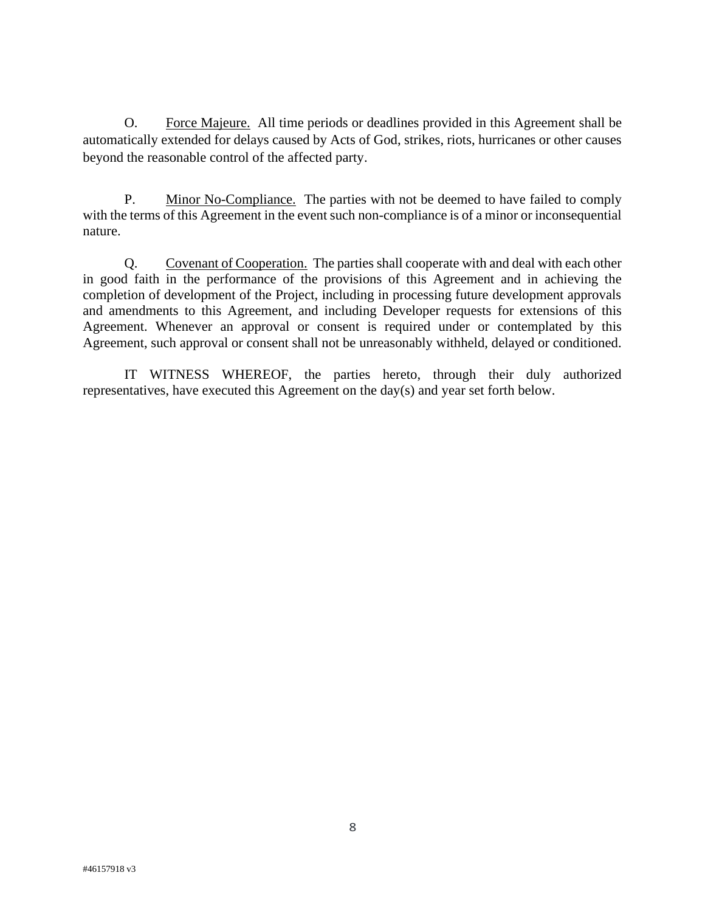O. Force Majeure. All time periods or deadlines provided in this Agreement shall be automatically extended for delays caused by Acts of God, strikes, riots, hurricanes or other causes beyond the reasonable control of the affected party.

P. Minor No-Compliance. The parties with not be deemed to have failed to comply with the terms of this Agreement in the event such non-compliance is of a minor or inconsequential nature.

Q. Covenant of Cooperation. The parties shall cooperate with and deal with each other in good faith in the performance of the provisions of this Agreement and in achieving the completion of development of the Project, including in processing future development approvals and amendments to this Agreement, and including Developer requests for extensions of this Agreement. Whenever an approval or consent is required under or contemplated by this Agreement, such approval or consent shall not be unreasonably withheld, delayed or conditioned.

IT WITNESS WHEREOF, the parties hereto, through their duly authorized representatives, have executed this Agreement on the day(s) and year set forth below.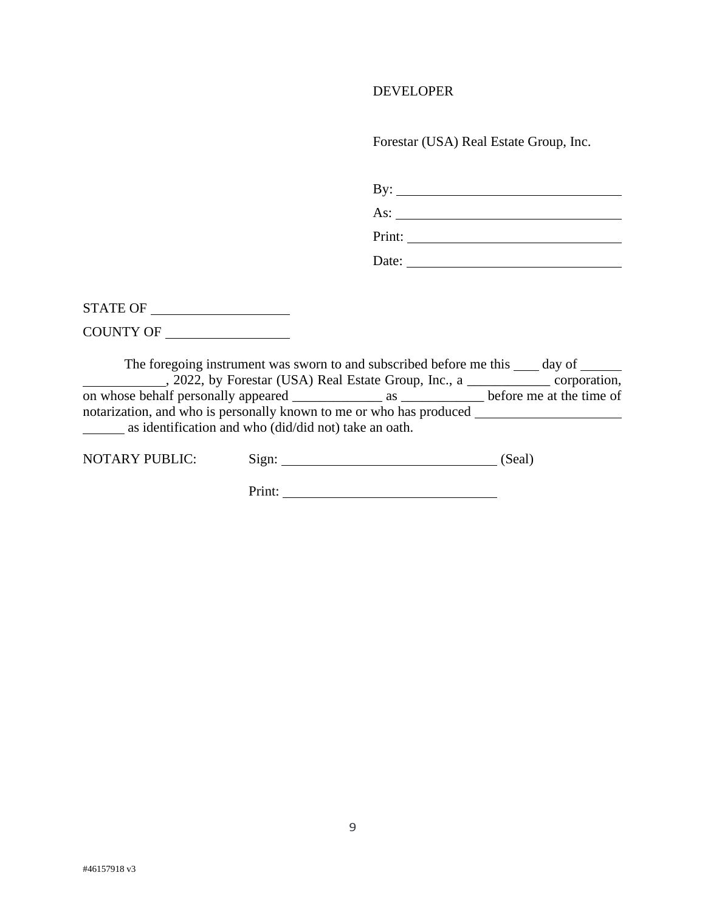## DEVELOPER

Forestar (USA) Real Estate Group, Inc.

| $\mathbf{By:}$ |  |  |
|----------------|--|--|
| As:            |  |  |
| Print:         |  |  |
| Date:          |  |  |

STATE OF

COUNTY OF

The foregoing instrument was sworn to and subscribed before me this  $\_\_\_$  day of  $\_\_\_\_$ , 2022, by Forestar (USA) Real Estate Group, Inc., a \_\_\_\_\_\_\_\_\_\_\_\_ corporation, on whose behalf personally appeared \_\_\_\_\_\_\_\_\_\_\_\_\_ as \_\_\_\_\_\_\_\_\_\_\_\_ before me at the time of notarization, and who is personally known to me or who has produced as identification and who (did/did not) take an oath.

| <b>NOTARY PUBLIC:</b> | S12n: |  | (Seal) |
|-----------------------|-------|--|--------|
|-----------------------|-------|--|--------|

Print: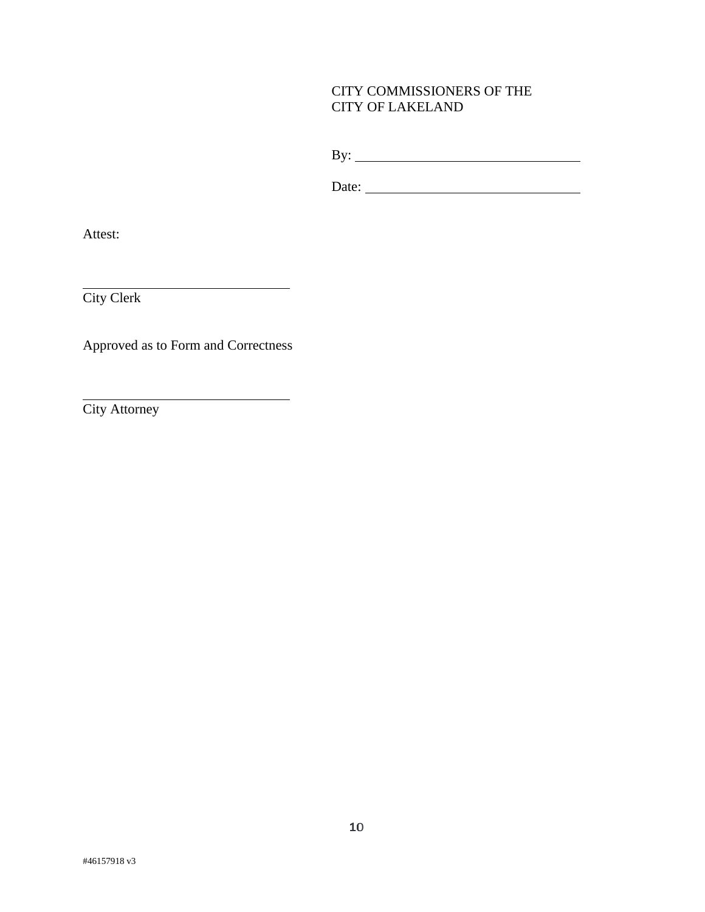## CITY COMMISSIONERS OF THE CITY OF LAKELAND

By:

Date:

Attest:

City Clerk

Approved as to Form and Correctness

<u> 1989 - Johann Barn, fransk politik amerikansk politik (</u>

City Attorney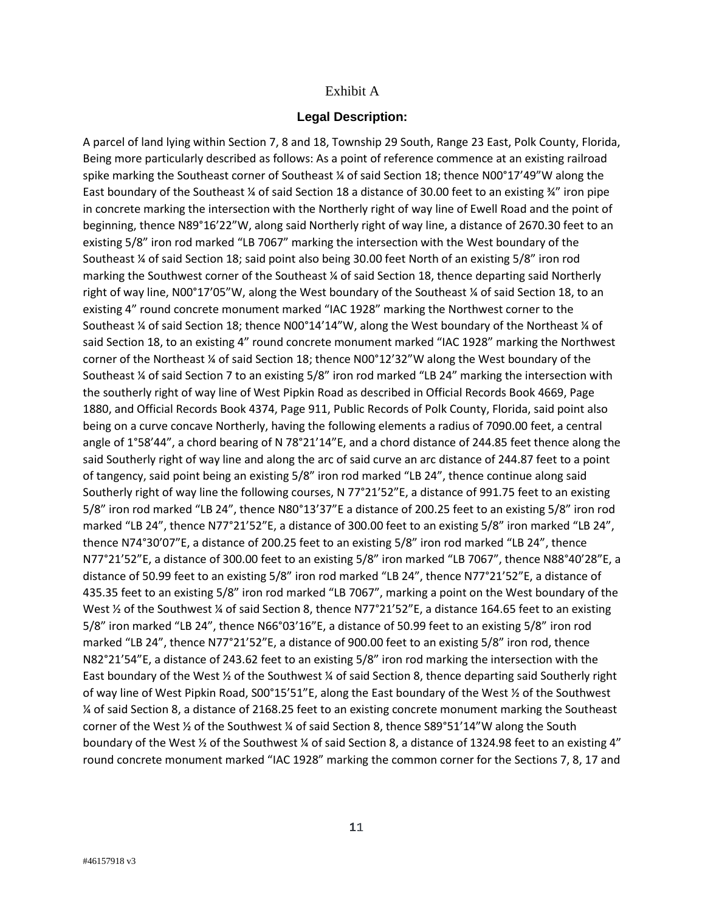#### Exhibit A

#### **Legal Description:**

A parcel of land lying within Section 7, 8 and 18, Township 29 South, Range 23 East, Polk County, Florida, Being more particularly described as follows: As a point of reference commence at an existing railroad spike marking the Southeast corner of Southeast ¼ of said Section 18; thence N00°17'49"W along the East boundary of the Southeast ¼ of said Section 18 a distance of 30.00 feet to an existing  $\frac{3}{4}$ " iron pipe in concrete marking the intersection with the Northerly right of way line of Ewell Road and the point of beginning, thence N89°16'22"W, along said Northerly right of way line, a distance of 2670.30 feet to an existing 5/8" iron rod marked "LB 7067" marking the intersection with the West boundary of the Southeast ¼ of said Section 18; said point also being 30.00 feet North of an existing 5/8" iron rod marking the Southwest corner of the Southeast ¼ of said Section 18, thence departing said Northerly right of way line, N00°17'05"W, along the West boundary of the Southeast ¼ of said Section 18, to an existing 4" round concrete monument marked "IAC 1928" marking the Northwest corner to the Southeast ¼ of said Section 18; thence N00°14'14"W, along the West boundary of the Northeast ¼ of said Section 18, to an existing 4" round concrete monument marked "IAC 1928" marking the Northwest corner of the Northeast ¼ of said Section 18; thence N00°12'32"W along the West boundary of the Southeast ¼ of said Section 7 to an existing 5/8" iron rod marked "LB 24" marking the intersection with the southerly right of way line of West Pipkin Road as described in Official Records Book 4669, Page 1880, and Official Records Book 4374, Page 911, Public Records of Polk County, Florida, said point also being on a curve concave Northerly, having the following elements a radius of 7090.00 feet, a central angle of 1°58'44", a chord bearing of N 78°21'14"E, and a chord distance of 244.85 feet thence along the said Southerly right of way line and along the arc of said curve an arc distance of 244.87 feet to a point of tangency, said point being an existing 5/8" iron rod marked "LB 24", thence continue along said Southerly right of way line the following courses, N 77°21'52"E, a distance of 991.75 feet to an existing 5/8" iron rod marked "LB 24", thence N80°13'37"E a distance of 200.25 feet to an existing 5/8" iron rod marked "LB 24", thence N77°21'52"E, a distance of 300.00 feet to an existing 5/8" iron marked "LB 24", thence N74°30'07"E, a distance of 200.25 feet to an existing 5/8" iron rod marked "LB 24", thence N77°21'52"E, a distance of 300.00 feet to an existing 5/8" iron marked "LB 7067", thence N88°40'28"E, a distance of 50.99 feet to an existing 5/8" iron rod marked "LB 24", thence N77°21'52"E, a distance of 435.35 feet to an existing 5/8" iron rod marked "LB 7067", marking a point on the West boundary of the West  $\frac{1}{2}$  of the Southwest  $\frac{1}{4}$  of said Section 8, thence N77°21'52"E, a distance 164.65 feet to an existing 5/8" iron marked "LB 24", thence N66°03'16"E, a distance of 50.99 feet to an existing 5/8" iron rod marked "LB 24", thence N77°21'52"E, a distance of 900.00 feet to an existing 5/8" iron rod, thence N82°21'54"E, a distance of 243.62 feet to an existing 5/8" iron rod marking the intersection with the East boundary of the West ½ of the Southwest ¼ of said Section 8, thence departing said Southerly right of way line of West Pipkin Road, S00°15'51"E, along the East boundary of the West ½ of the Southwest ¼ of said Section 8, a distance of 2168.25 feet to an existing concrete monument marking the Southeast corner of the West ½ of the Southwest ¼ of said Section 8, thence S89°51'14"W along the South boundary of the West ½ of the Southwest ¼ of said Section 8, a distance of 1324.98 feet to an existing 4" round concrete monument marked "IAC 1928" marking the common corner for the Sections 7, 8, 17 and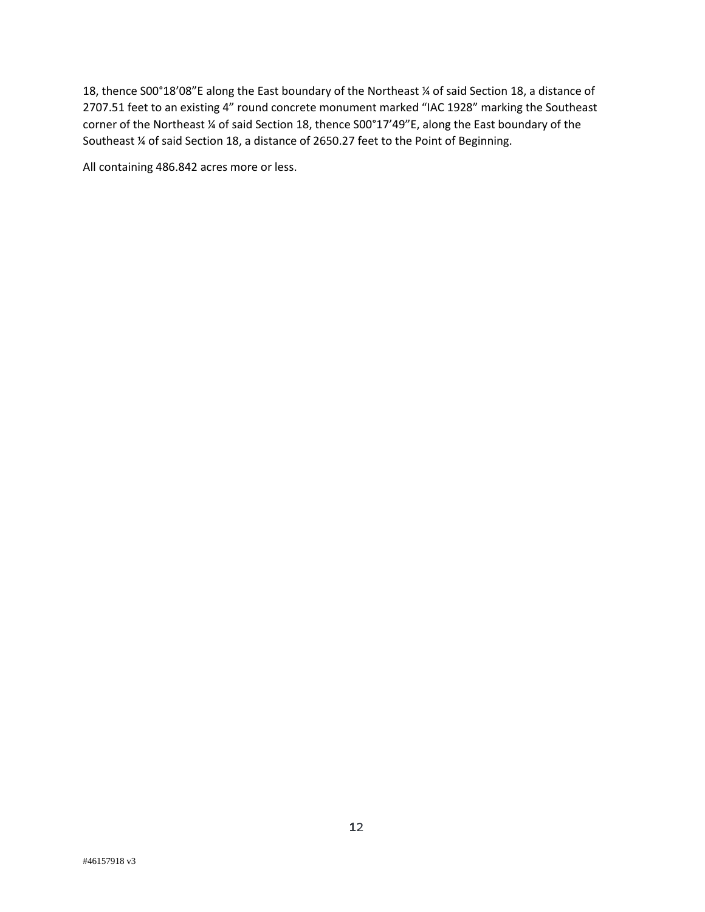18, thence S00°18'08"E along the East boundary of the Northeast ¼ of said Section 18, a distance of 2707.51 feet to an existing 4" round concrete monument marked "IAC 1928" marking the Southeast corner of the Northeast ¼ of said Section 18, thence S00°17'49"E, along the East boundary of the Southeast ¼ of said Section 18, a distance of 2650.27 feet to the Point of Beginning.

All containing 486.842 acres more or less.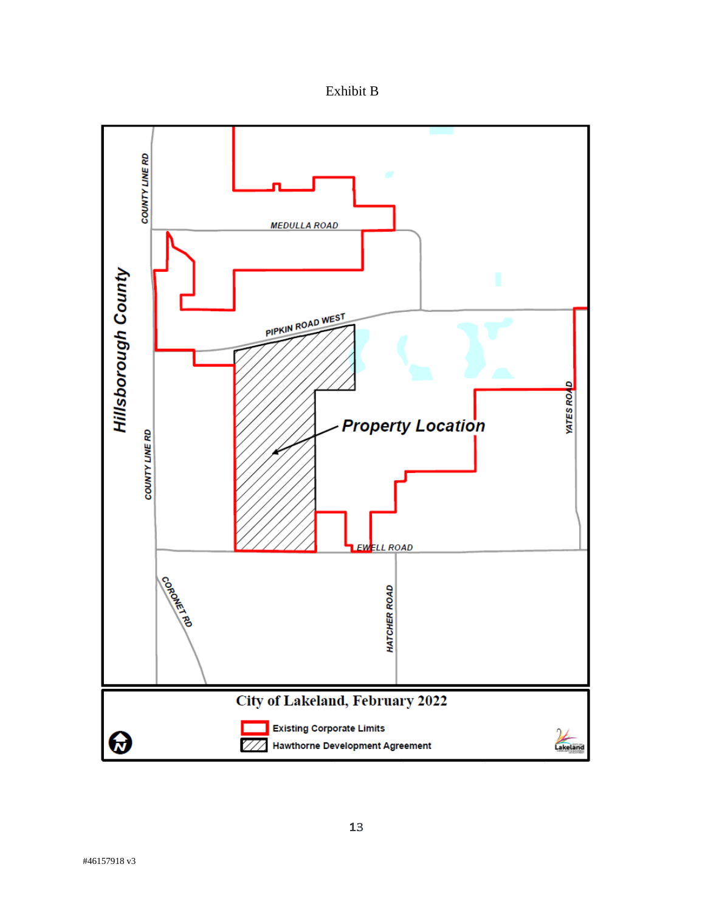Exhibit B

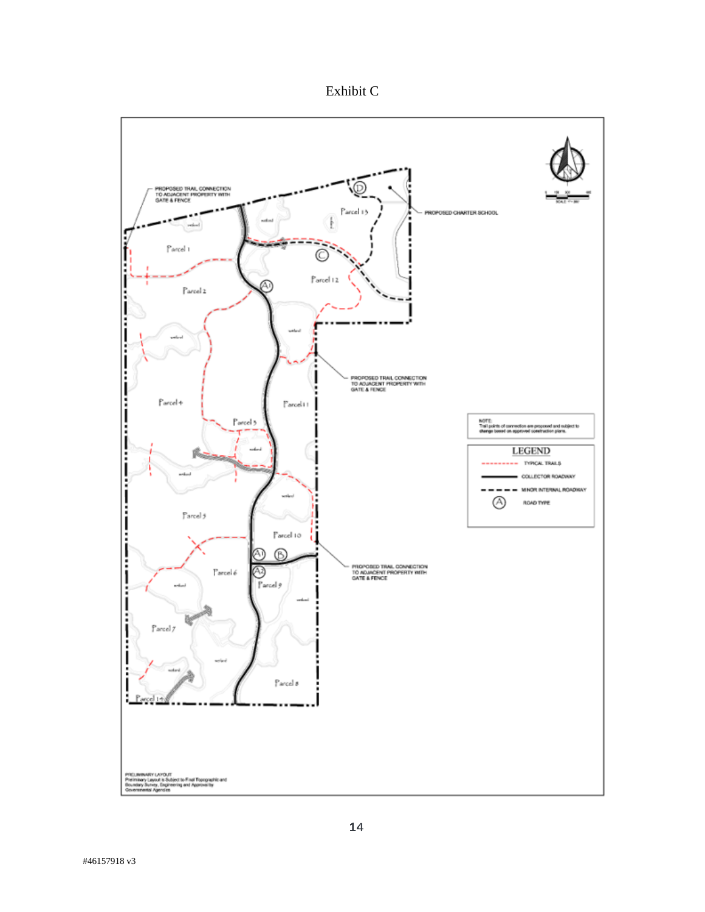Exhibit C